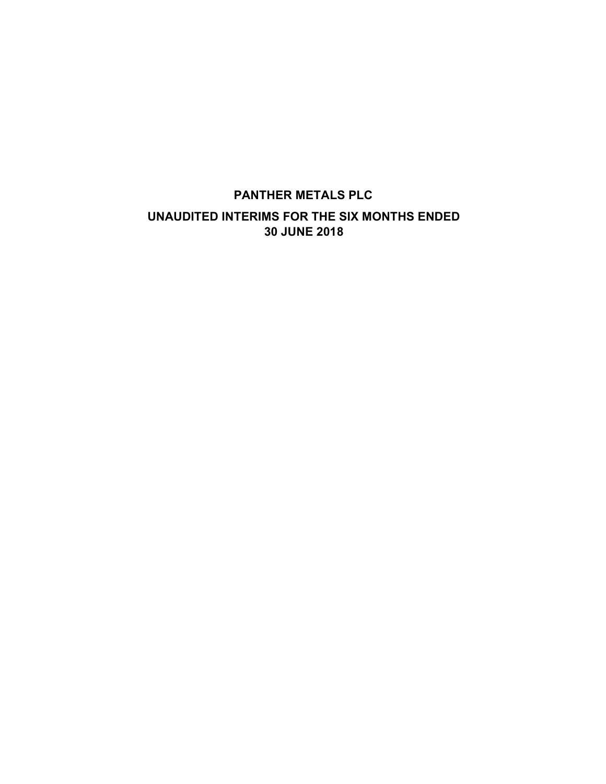# PANTHER METALS PLC UNAUDITED INTERIMS FOR THE SIX MONTHS ENDED 30 JUNE 2018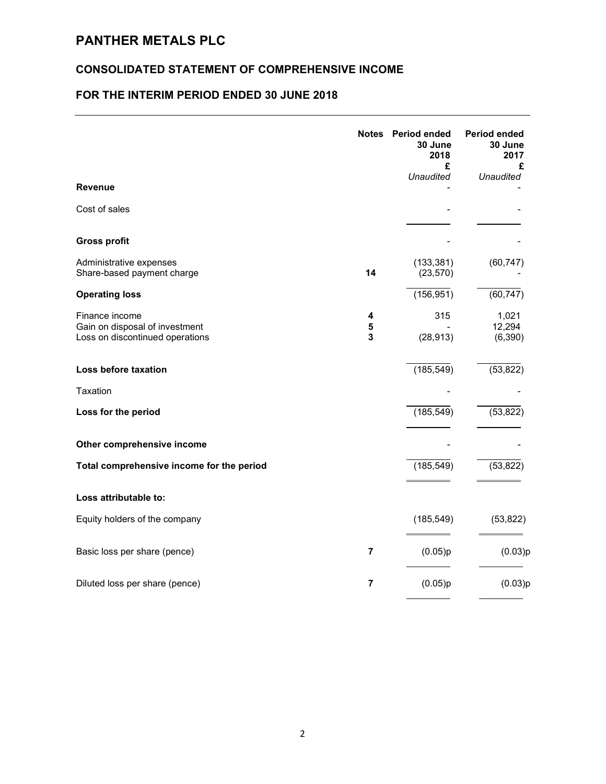# PANTHER METALS PLC

### CONSOLIDATED STATEMENT OF COMPREHENSIVE INCOME

# FOR THE INTERIM PERIOD ENDED 30 JUNE 2018

|                                                                                     | Notes          | <b>Period ended</b><br>30 June<br>2018<br>£ | Period ended<br>30 June<br>2017<br>£ |
|-------------------------------------------------------------------------------------|----------------|---------------------------------------------|--------------------------------------|
| <b>Revenue</b>                                                                      |                | <b>Unaudited</b>                            | <b>Unaudited</b>                     |
| Cost of sales                                                                       |                |                                             |                                      |
| <b>Gross profit</b>                                                                 |                |                                             |                                      |
| Administrative expenses<br>Share-based payment charge                               | 14             | (133, 381)<br>(23, 570)                     | (60, 747)                            |
| <b>Operating loss</b>                                                               |                | (156, 951)                                  | (60, 747)                            |
| Finance income<br>Gain on disposal of investment<br>Loss on discontinued operations | 4<br>5<br>3    | 315<br>(28, 913)                            | 1,021<br>12,294<br>(6, 390)          |
| Loss before taxation                                                                |                | (185, 549)                                  | (53, 822)                            |
| Taxation                                                                            |                |                                             |                                      |
| Loss for the period                                                                 |                | (185, 549)                                  | (53, 822)                            |
| Other comprehensive income                                                          |                |                                             |                                      |
| Total comprehensive income for the period                                           |                | (185, 549)                                  | (53, 822)                            |
| Loss attributable to:                                                               |                |                                             |                                      |
| Equity holders of the company                                                       |                | (185, 549)                                  | (53, 822)                            |
| Basic loss per share (pence)                                                        | $\overline{7}$ | (0.05)p                                     | (0.03)p                              |
| Diluted loss per share (pence)                                                      | $\overline{7}$ | (0.05)p                                     | (0.03)p                              |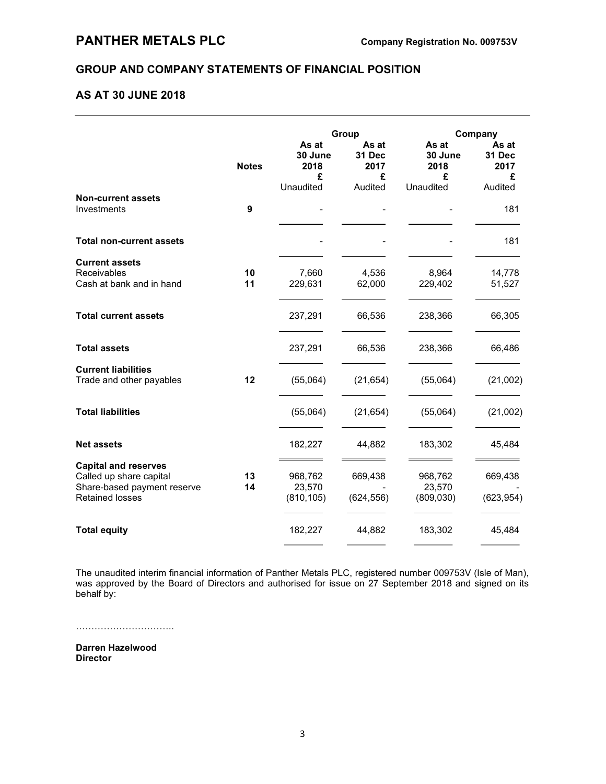### GROUP AND COMPANY STATEMENTS OF FINANCIAL POSITION

### AS AT 30 JUNE 2018

|                                          |              | Group                                      |                                         | Company                                    |                                         |
|------------------------------------------|--------------|--------------------------------------------|-----------------------------------------|--------------------------------------------|-----------------------------------------|
|                                          | <b>Notes</b> | As at<br>30 June<br>2018<br>£<br>Unaudited | As at<br>31 Dec<br>2017<br>£<br>Audited | As at<br>30 June<br>2018<br>£<br>Unaudited | As at<br>31 Dec<br>2017<br>£<br>Audited |
| <b>Non-current assets</b><br>Investments | 9            |                                            |                                         |                                            | 181                                     |
|                                          |              |                                            |                                         |                                            |                                         |
| <b>Total non-current assets</b>          |              |                                            |                                         |                                            | 181                                     |
| <b>Current assets</b>                    |              |                                            |                                         |                                            |                                         |
| Receivables                              | 10           | 7,660                                      | 4,536                                   | 8,964                                      | 14,778                                  |
| Cash at bank and in hand                 | 11           | 229,631                                    | 62,000                                  | 229,402                                    | 51,527                                  |
| <b>Total current assets</b>              |              | 237,291                                    | 66,536                                  | 238,366                                    | 66,305                                  |
| <b>Total assets</b>                      |              | 237,291                                    | 66,536                                  | 238,366                                    | 66,486                                  |
| <b>Current liabilities</b>               |              |                                            |                                         |                                            |                                         |
| Trade and other payables                 | 12           | (55,064)                                   | (21, 654)                               | (55,064)                                   | (21,002)                                |
| <b>Total liabilities</b>                 |              | (55,064)                                   | (21, 654)                               | (55,064)                                   | (21,002)                                |
| <b>Net assets</b>                        |              | 182,227                                    | 44,882                                  | 183,302                                    | 45,484                                  |
| <b>Capital and reserves</b>              |              |                                            |                                         |                                            |                                         |
| Called up share capital                  | 13           | 968,762                                    | 669,438                                 | 968,762                                    | 669,438                                 |
| Share-based payment reserve              | 14           | 23,570                                     |                                         | 23,570                                     |                                         |
| <b>Retained losses</b>                   |              | (810, 105)                                 | (624, 556)                              | (809, 030)                                 | (623, 954)                              |
| <b>Total equity</b>                      |              | 182,227                                    | 44,882                                  | 183,302                                    | 45,484                                  |
|                                          |              |                                            |                                         |                                            |                                         |

The unaudited interim financial information of Panther Metals PLC, registered number 009753V (Isle of Man), was approved by the Board of Directors and authorised for issue on 27 September 2018 and signed on its behalf by:

…………………………..

Darren Hazelwood Director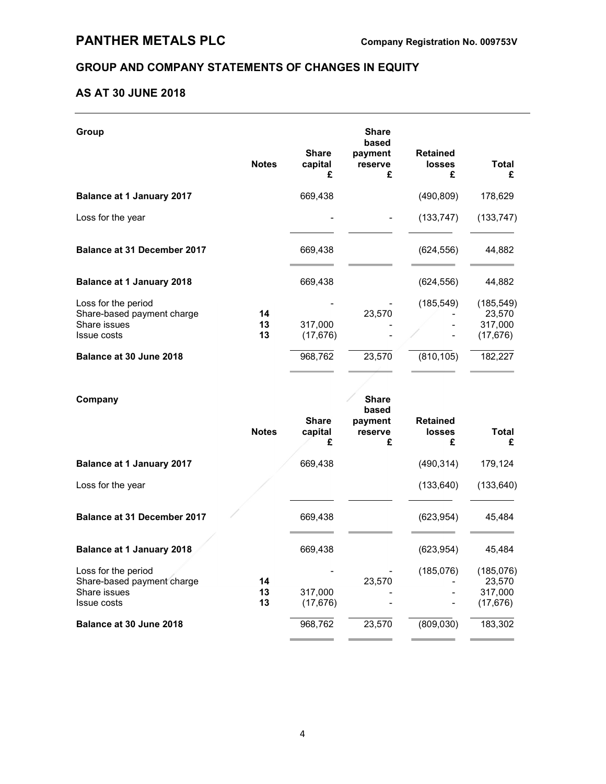# GROUP AND COMPANY STATEMENTS OF CHANGES IN EQUITY

### AS AT 30 JUNE 2018

| Group                                                                                   |                |                              | <b>Share</b><br>based                            |                                       |                                              |
|-----------------------------------------------------------------------------------------|----------------|------------------------------|--------------------------------------------------|---------------------------------------|----------------------------------------------|
|                                                                                         | <b>Notes</b>   | <b>Share</b><br>capital<br>£ | payment<br>reserve<br>£                          | <b>Retained</b><br><b>losses</b><br>£ | <b>Total</b><br>£                            |
| <b>Balance at 1 January 2017</b>                                                        |                | 669,438                      |                                                  | (490, 809)                            | 178,629                                      |
| Loss for the year                                                                       |                |                              |                                                  | (133, 747)                            | (133, 747)                                   |
| <b>Balance at 31 December 2017</b>                                                      |                | 669,438                      |                                                  | (624, 556)                            | 44,882                                       |
| <b>Balance at 1 January 2018</b>                                                        |                | 669,438                      |                                                  | (624, 556)                            | 44,882                                       |
| Loss for the period<br>Share-based payment charge<br>Share issues<br><b>Issue costs</b> | 14<br>13<br>13 | 317,000<br>(17, 676)         | 23,570                                           | (185, 549)                            | (185, 549)<br>23,570<br>317,000<br>(17, 676) |
| Balance at 30 June 2018                                                                 |                | 968,762                      | 23,570                                           | (810, 105)                            | 182,227                                      |
| Company                                                                                 | <b>Notes</b>   | <b>Share</b><br>capital<br>£ | <b>Share</b><br>based<br>payment<br>reserve<br>£ | <b>Retained</b><br><b>losses</b><br>£ | <b>Total</b><br>£                            |
| <b>Balance at 1 January 2017</b>                                                        |                | 669,438                      |                                                  | (490, 314)                            | 179,124                                      |
| Loss for the year                                                                       |                |                              |                                                  | (133, 640)                            | (133, 640)                                   |
| <b>Balance at 31 December 2017</b>                                                      |                | 669,438                      |                                                  | (623, 954)                            | 45,484                                       |
| <b>Balance at 1 January 2018</b>                                                        |                | 669,438                      |                                                  | (623, 954)                            | 45,484                                       |
| Loss for the period<br>Share-based payment charge<br>Share issues<br><b>Issue costs</b> | 14<br>13<br>13 | 317,000<br>(17, 676)         | 23,570                                           | (185, 076)                            | (185,076)<br>23,570<br>317,000<br>(17, 676)  |

**Balance at 30 June 2018** 2068,762 23,570 (809,030) 183,302  $\overline{a}$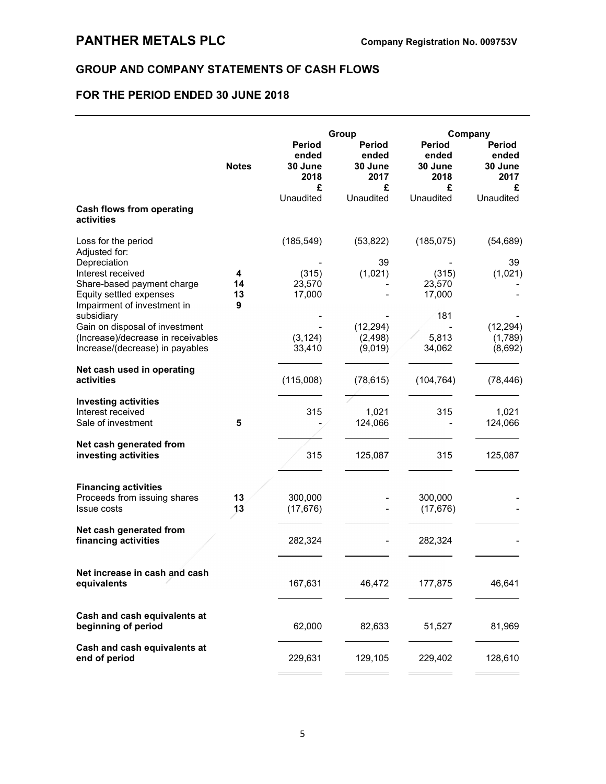## GROUP AND COMPANY STATEMENTS OF CASH FLOWS

# FOR THE PERIOD ENDED 30 JUNE 2018

|                                                                                                                           | <b>Notes</b>       | <b>Period</b><br>ended<br>30 June<br>2018<br>£ | Group<br>Period<br>ended<br>30 June<br>2017<br>£ | <b>Period</b><br>ended<br>30 June<br>2018<br>£ | Company<br>Period<br>ended<br>30 June<br>2017<br>£ |
|---------------------------------------------------------------------------------------------------------------------------|--------------------|------------------------------------------------|--------------------------------------------------|------------------------------------------------|----------------------------------------------------|
| <b>Cash flows from operating</b><br>activities                                                                            |                    | Unaudited                                      | Unaudited                                        | Unaudited                                      | Unaudited                                          |
| Loss for the period<br>Adjusted for:                                                                                      |                    | (185, 549)                                     | (53, 822)                                        | (185, 075)                                     | (54, 689)                                          |
| Depreciation<br>Interest received<br>Share-based payment charge<br>Equity settled expenses<br>Impairment of investment in | 4<br>14<br>13<br>9 | (315)<br>23,570<br>17,000                      | 39<br>(1,021)                                    | (315)<br>23,570<br>17,000                      | 39<br>(1,021)                                      |
| subsidiary<br>Gain on disposal of investment<br>(Increase)/decrease in receivables<br>Increase/(decrease) in payables     |                    | (3, 124)<br>33,410                             | (12, 294)<br>(2, 498)<br>(9,019)                 | 181<br>5,813<br>34,062                         | (12, 294)<br>(1,789)<br>(8,692)                    |
| Net cash used in operating<br>activities                                                                                  |                    | (115,008)                                      | (78, 615)                                        | (104, 764)                                     | (78, 446)                                          |
| <b>Investing activities</b><br>Interest received<br>Sale of investment                                                    | 5                  | 315                                            | 1,021<br>124,066                                 | 315                                            | 1,021<br>124,066                                   |
| Net cash generated from<br>investing activities                                                                           |                    | 315                                            | 125,087                                          | 315                                            | 125,087                                            |
| <b>Financing activities</b><br>Proceeds from issuing shares<br><b>Issue costs</b>                                         | 13<br>13           | 300,000<br>(17, 676)                           |                                                  | 300,000<br>(17, 676)                           |                                                    |
| Net cash generated from<br>financing activities                                                                           |                    | 282,324                                        |                                                  | 282,324                                        |                                                    |
| Net increase in cash and cash<br>equivalents                                                                              |                    | 167,631                                        | 46,472                                           | 177,875                                        | 46,641                                             |
| Cash and cash equivalents at<br>beginning of period                                                                       |                    | 62,000                                         | 82,633                                           | 51,527                                         | 81,969                                             |
| Cash and cash equivalents at<br>end of period                                                                             |                    | 229,631                                        | 129,105                                          | 229,402                                        | 128,610                                            |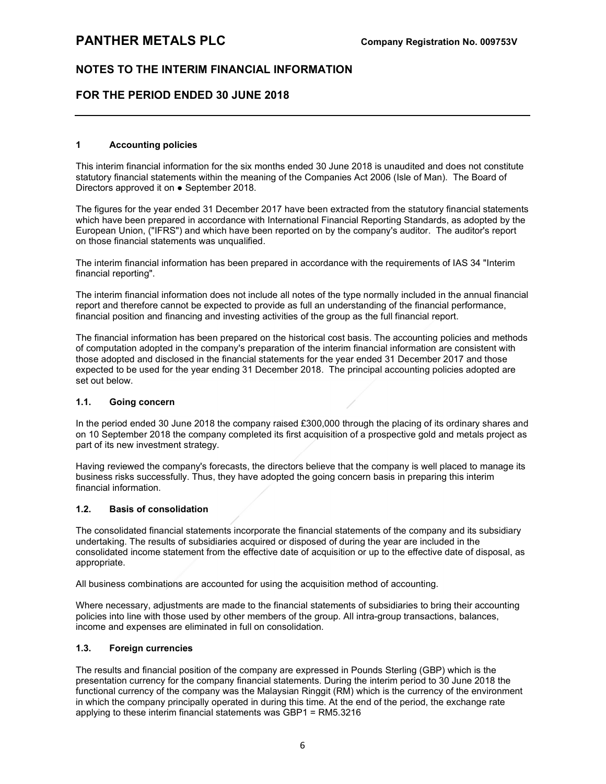### FOR THE PERIOD ENDED 30 JUNE 2018

#### 1 Accounting policies

This interim financial information for the six months ended 30 June 2018 is unaudited and does not constitute statutory financial statements within the meaning of the Companies Act 2006 (Isle of Man). The Board of Directors approved it on ● September 2018.

The figures for the year ended 31 December 2017 have been extracted from the statutory financial statements which have been prepared in accordance with International Financial Reporting Standards, as adopted by the European Union, ("IFRS") and which have been reported on by the company's auditor. The auditor's report on those financial statements was unqualified.

The interim financial information has been prepared in accordance with the requirements of IAS 34 "Interim financial reporting".

The interim financial information does not include all notes of the type normally included in the annual financial report and therefore cannot be expected to provide as full an understanding of the financial performance, financial position and financing and investing activities of the group as the full financial report.

The financial information has been prepared on the historical cost basis. The accounting policies and methods of computation adopted in the company's preparation of the interim financial information are consistent with those adopted and disclosed in the financial statements for the year ended 31 December 2017 and those expected to be used for the year ending 31 December 2018. The principal accounting policies adopted are set out below.

#### 1.1. Going concern

In the period ended 30 June 2018 the company raised £300,000 through the placing of its ordinary shares and on 10 September 2018 the company completed its first acquisition of a prospective gold and metals project as part of its new investment strategy.

Having reviewed the company's forecasts, the directors believe that the company is well placed to manage its business risks successfully. Thus, they have adopted the going concern basis in preparing this interim financial information.

#### 1.2. Basis of consolidation

The consolidated financial statements incorporate the financial statements of the company and its subsidiary undertaking. The results of subsidiaries acquired or disposed of during the year are included in the consolidated income statement from the effective date of acquisition or up to the effective date of disposal, as appropriate.

All business combinations are accounted for using the acquisition method of accounting.

Where necessary, adjustments are made to the financial statements of subsidiaries to bring their accounting policies into line with those used by other members of the group. All intra-group transactions, balances, income and expenses are eliminated in full on consolidation.

#### 1.3. Foreign currencies

The results and financial position of the company are expressed in Pounds Sterling (GBP) which is the presentation currency for the company financial statements. During the interim period to 30 June 2018 the functional currency of the company was the Malaysian Ringgit (RM) which is the currency of the environment in which the company principally operated in during this time. At the end of the period, the exchange rate applying to these interim financial statements was GBP1 = RM5.3216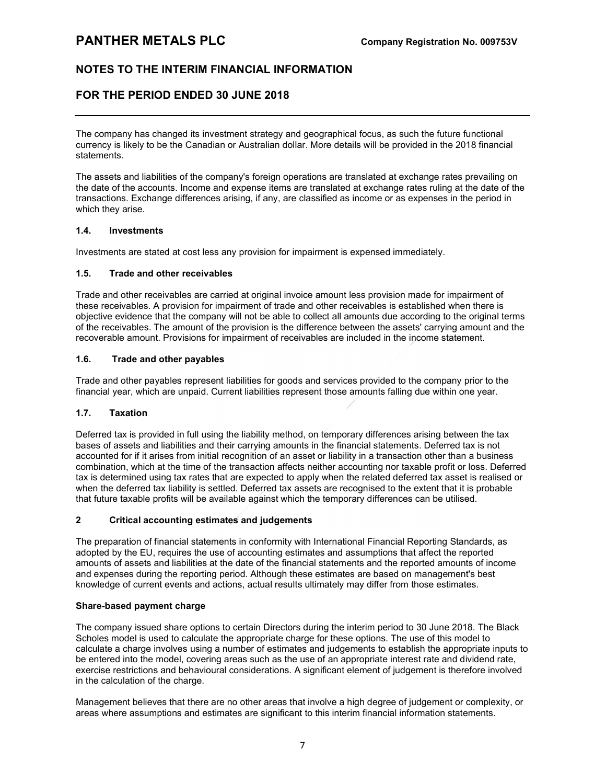# PANTHER METALS PLC Company Registration No. 009753V

## NOTES TO THE INTERIM FINANCIAL INFORMATION

### FOR THE PERIOD ENDED 30 JUNE 2018

The company has changed its investment strategy and geographical focus, as such the future functional currency is likely to be the Canadian or Australian dollar. More details will be provided in the 2018 financial statements.

The assets and liabilities of the company's foreign operations are translated at exchange rates prevailing on the date of the accounts. Income and expense items are translated at exchange rates ruling at the date of the transactions. Exchange differences arising, if any, are classified as income or as expenses in the period in which they arise.

#### 1.4. Investments

Investments are stated at cost less any provision for impairment is expensed immediately.

#### 1.5. Trade and other receivables

Trade and other receivables are carried at original invoice amount less provision made for impairment of these receivables. A provision for impairment of trade and other receivables is established when there is objective evidence that the company will not be able to collect all amounts due according to the original terms of the receivables. The amount of the provision is the difference between the assets' carrying amount and the recoverable amount. Provisions for impairment of receivables are included in the income statement.

#### 1.6. Trade and other payables

Trade and other payables represent liabilities for goods and services provided to the company prior to the financial year, which are unpaid. Current liabilities represent those amounts falling due within one year.

#### 1.7. Taxation

Deferred tax is provided in full using the liability method, on temporary differences arising between the tax bases of assets and liabilities and their carrying amounts in the financial statements. Deferred tax is not accounted for if it arises from initial recognition of an asset or liability in a transaction other than a business combination, which at the time of the transaction affects neither accounting nor taxable profit or loss. Deferred tax is determined using tax rates that are expected to apply when the related deferred tax asset is realised or when the deferred tax liability is settled. Deferred tax assets are recognised to the extent that it is probable that future taxable profits will be available against which the temporary differences can be utilised.

#### 2 Critical accounting estimates and judgements

The preparation of financial statements in conformity with International Financial Reporting Standards, as adopted by the EU, requires the use of accounting estimates and assumptions that affect the reported amounts of assets and liabilities at the date of the financial statements and the reported amounts of income and expenses during the reporting period. Although these estimates are based on management's best knowledge of current events and actions, actual results ultimately may differ from those estimates.

#### Share-based payment charge

The company issued share options to certain Directors during the interim period to 30 June 2018. The Black Scholes model is used to calculate the appropriate charge for these options. The use of this model to calculate a charge involves using a number of estimates and judgements to establish the appropriate inputs to be entered into the model, covering areas such as the use of an appropriate interest rate and dividend rate, exercise restrictions and behavioural considerations. A significant element of judgement is therefore involved in the calculation of the charge.

Management believes that there are no other areas that involve a high degree of judgement or complexity, or areas where assumptions and estimates are significant to this interim financial information statements.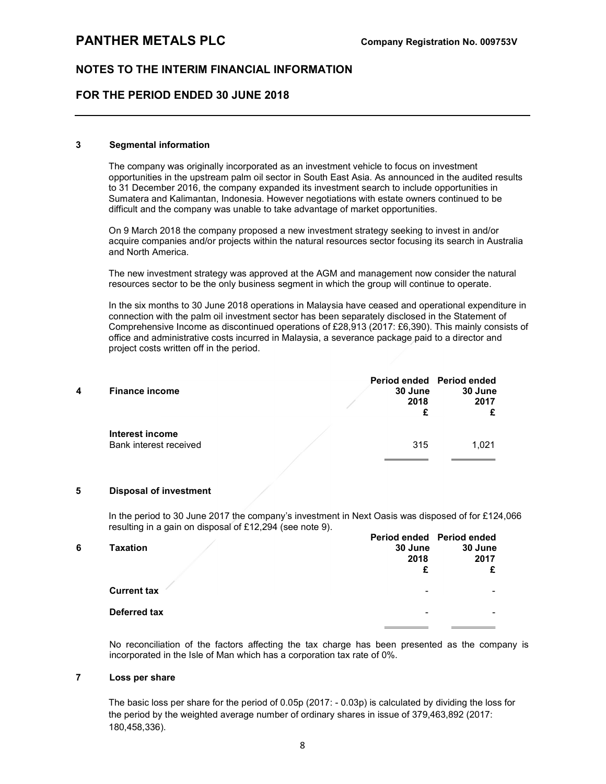### FOR THE PERIOD ENDED 30 JUNE 2018

#### 3 Segmental information

The company was originally incorporated as an investment vehicle to focus on investment opportunities in the upstream palm oil sector in South East Asia. As announced in the audited results to 31 December 2016, the company expanded its investment search to include opportunities in Sumatera and Kalimantan, Indonesia. However negotiations with estate owners continued to be difficult and the company was unable to take advantage of market opportunities.

On 9 March 2018 the company proposed a new investment strategy seeking to invest in and/or acquire companies and/or projects within the natural resources sector focusing its search in Australia and North America.

The new investment strategy was approved at the AGM and management now consider the natural resources sector to be the only business segment in which the group will continue to operate.

In the six months to 30 June 2018 operations in Malaysia have ceased and operational expenditure in connection with the palm oil investment sector has been separately disclosed in the Statement of Comprehensive Income as discontinued operations of £28,913 (2017: £6,390). This mainly consists of office and administrative costs incurred in Malaysia, a severance package paid to a director and project costs written off in the period.

| 4 | <b>Finance income</b>                     | 30 June<br>2018 | Period ended Period ended<br>30 June<br>2017 |
|---|-------------------------------------------|-----------------|----------------------------------------------|
|   | Interest income<br>Bank interest received | 315             | 1.021                                        |

#### 5 Disposal of investment

In the period to 30 June 2017 the company's investment in Next Oasis was disposed of for £124,066 resulting in a gain on disposal of £12,294 (see note 9).

| 6 | Taxation           | Period ended Period ended<br>30 June | 30 June |
|---|--------------------|--------------------------------------|---------|
|   |                    |                                      |         |
|   |                    | 2018                                 | 2017    |
|   |                    | £                                    | £       |
|   | <b>Current tax</b> | $\,$                                 |         |
|   | Deferred tax       | $\,$                                 | -       |
|   |                    |                                      |         |

 No reconciliation of the factors affecting the tax charge has been presented as the company is incorporated in the Isle of Man which has a corporation tax rate of 0%.

#### 7 Loss per share

The basic loss per share for the period of 0.05p (2017: - 0.03p) is calculated by dividing the loss for the period by the weighted average number of ordinary shares in issue of 379,463,892 (2017: 180,458,336).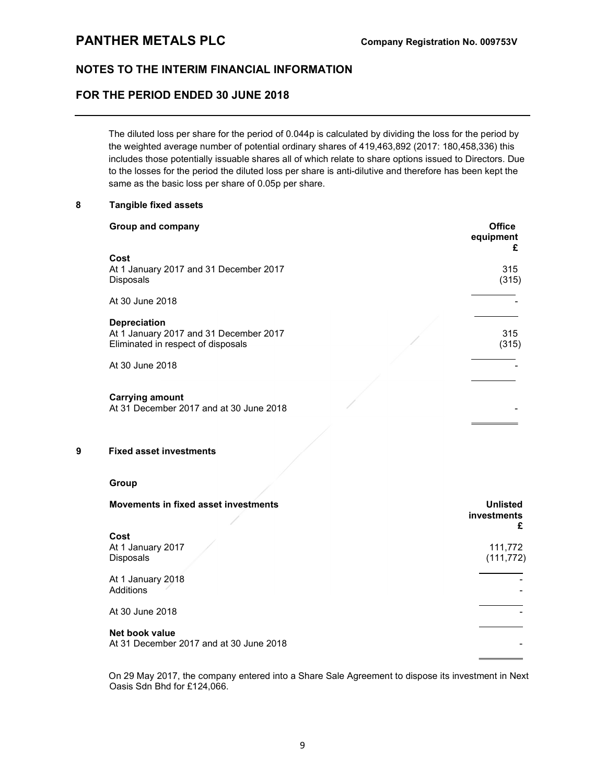# PANTHER METALS PLC Company Registration No. 009753V

### NOTES TO THE INTERIM FINANCIAL INFORMATION

### FOR THE PERIOD ENDED 30 JUNE 2018

The diluted loss per share for the period of 0.044p is calculated by dividing the loss for the period by the weighted average number of potential ordinary shares of 419,463,892 (2017: 180,458,336) this includes those potentially issuable shares all of which relate to share options issued to Directors. Due to the losses for the period the diluted loss per share is anti-dilutive and therefore has been kept the same as the basic loss per share of 0.05p per share.

#### 8 Tangible fixed assets

| Group and company                                                                                   | <b>Office</b><br>equipment<br>£ |
|-----------------------------------------------------------------------------------------------------|---------------------------------|
| Cost<br>At 1 January 2017 and 31 December 2017<br><b>Disposals</b>                                  | 315<br>(315)                    |
| At 30 June 2018                                                                                     |                                 |
| <b>Depreciation</b><br>At 1 January 2017 and 31 December 2017<br>Eliminated in respect of disposals | 315<br>(315)                    |
| At 30 June 2018                                                                                     |                                 |
| <b>Carrying amount</b><br>At 31 December 2017 and at 30 June 2018                                   |                                 |

#### 9 Fixed asset investments

#### Group

| Movements in fixed asset investments                      | <b>Unlisted</b><br>investments<br>£ |
|-----------------------------------------------------------|-------------------------------------|
| Cost                                                      |                                     |
| At 1 January 2017                                         | 111,772                             |
| <b>Disposals</b>                                          | (111, 772)                          |
| At 1 January 2018<br>Additions                            |                                     |
| At 30 June 2018                                           |                                     |
| Net book value<br>At 31 December 2017 and at 30 June 2018 |                                     |

On 29 May 2017, the company entered into a Share Sale Agreement to dispose its investment in Next Oasis Sdn Bhd for £124,066.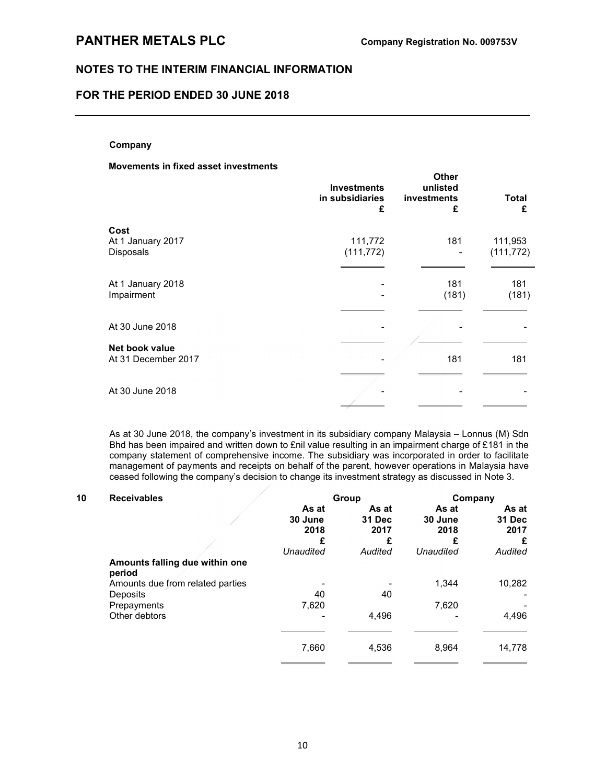### FOR THE PERIOD ENDED 30 JUNE 2018

#### Company

#### Movements in fixed asset investments

|                                               | <b>Investments</b><br>in subsidiaries<br>£ | Other<br>unlisted<br>investments<br>£ | Total<br>£            |
|-----------------------------------------------|--------------------------------------------|---------------------------------------|-----------------------|
| Cost<br>At 1 January 2017<br><b>Disposals</b> | 111,772<br>(111, 772)                      | 181                                   | 111,953<br>(111, 772) |
| At 1 January 2018<br>Impairment               |                                            | 181<br>(181)                          | 181<br>(181)          |
| At 30 June 2018                               |                                            |                                       |                       |
| Net book value<br>At 31 December 2017         |                                            | 181                                   | 181                   |
| At 30 June 2018                               |                                            |                                       |                       |

As at 30 June 2018, the company's investment in its subsidiary company Malaysia – Lonnus (M) Sdn Bhd has been impaired and written down to £nil value resulting in an impairment charge of £181 in the company statement of comprehensive income. The subsidiary was incorporated in order to facilitate management of payments and receipts on behalf of the parent, however operations in Malaysia have ceased following the company's decision to change its investment strategy as discussed in Note 3.

| 10 | <b>Receivables</b>                       |                          | Group                   | Company                  |                         |
|----|------------------------------------------|--------------------------|-------------------------|--------------------------|-------------------------|
|    |                                          | As at<br>30 June<br>2018 | As at<br>31 Dec<br>2017 | As at<br>30 June<br>2018 | As at<br>31 Dec<br>2017 |
|    |                                          | £                        | £                       | £                        | £                       |
|    |                                          | Unaudited                | Audited                 | Unaudited                | Audited                 |
|    | Amounts falling due within one<br>period |                          |                         |                          |                         |
|    | Amounts due from related parties         |                          |                         | 1.344                    | 10,282                  |
|    | Deposits                                 | 40                       | 40                      |                          |                         |
|    | Prepayments                              | 7,620                    |                         | 7,620                    |                         |
|    | Other debtors                            |                          | 4,496                   |                          | 4,496                   |
|    |                                          | 7,660                    | 4,536                   | 8,964                    | 14,778                  |
|    |                                          |                          |                         |                          |                         |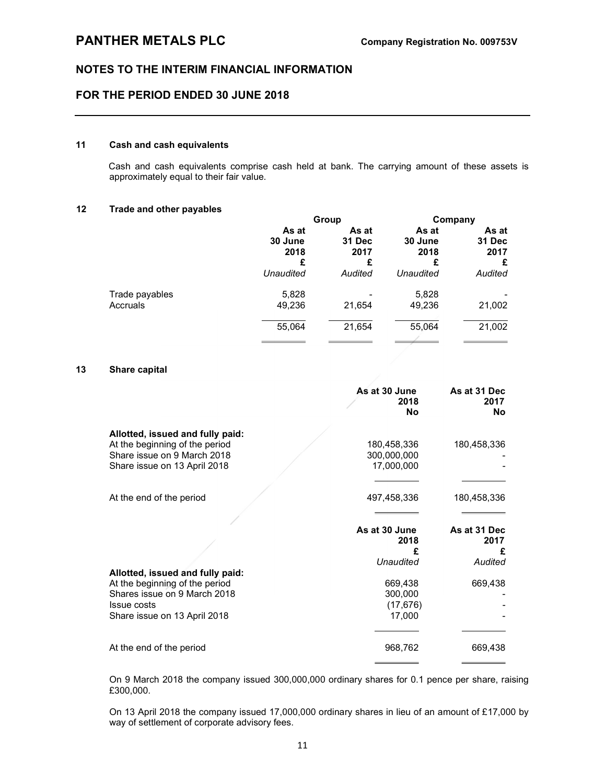### FOR THE PERIOD ENDED 30 JUNE 2018

### 11 Cash and cash equivalents

Cash and cash equivalents comprise cash held at bank. The carrying amount of these assets is approximately equal to their fair value.

#### 12 Trade and other payables

|                            | Group                         |                              | Company                       |                              |
|----------------------------|-------------------------------|------------------------------|-------------------------------|------------------------------|
|                            | As at<br>30 June<br>2018<br>£ | As at<br>31 Dec<br>2017<br>£ | As at<br>30 June<br>2018<br>£ | As at<br>31 Dec<br>2017<br>£ |
|                            | Unaudited                     | Audited                      | Unaudited                     | Audited                      |
| Trade payables<br>Accruals | 5,828<br>49,236               | 21,654                       | 5,828<br>49,236               | 21,002                       |
|                            | 55,064                        | 21,654                       | 55,064                        | 21,002                       |
|                            |                               |                              |                               |                              |

#### 13 Share capital

|                                                    | As at 30 June<br>2018<br><b>No</b> | As at 31 Dec<br>2017<br><b>No</b> |
|----------------------------------------------------|------------------------------------|-----------------------------------|
| Allotted, issued and fully paid:                   |                                    |                                   |
| At the beginning of the period                     | 180,458,336                        | 180,458,336                       |
| Share issue on 9 March 2018                        | 300,000,000                        |                                   |
| Share issue on 13 April 2018                       | 17,000,000                         |                                   |
|                                                    |                                    |                                   |
| At the end of the period                           | 497,458,336                        | 180,458,336                       |
|                                                    |                                    |                                   |
|                                                    | As at 30 June                      | As at 31 Dec                      |
|                                                    | 2018                               | 2017                              |
|                                                    | £<br>Unaudited                     | £<br>Audited                      |
|                                                    |                                    |                                   |
|                                                    |                                    |                                   |
| Allotted, issued and fully paid:                   |                                    |                                   |
| At the beginning of the period                     | 669,438                            | 669,438                           |
| Shares issue on 9 March 2018                       | 300,000                            |                                   |
| <b>Issue costs</b><br>Share issue on 13 April 2018 | (17, 676)<br>17,000                |                                   |
|                                                    |                                    |                                   |
| At the end of the period                           | 968,762                            | 669,438                           |

 On 9 March 2018 the company issued 300,000,000 ordinary shares for 0.1 pence per share, raising £300,000.

 On 13 April 2018 the company issued 17,000,000 ordinary shares in lieu of an amount of £17,000 by way of settlement of corporate advisory fees.